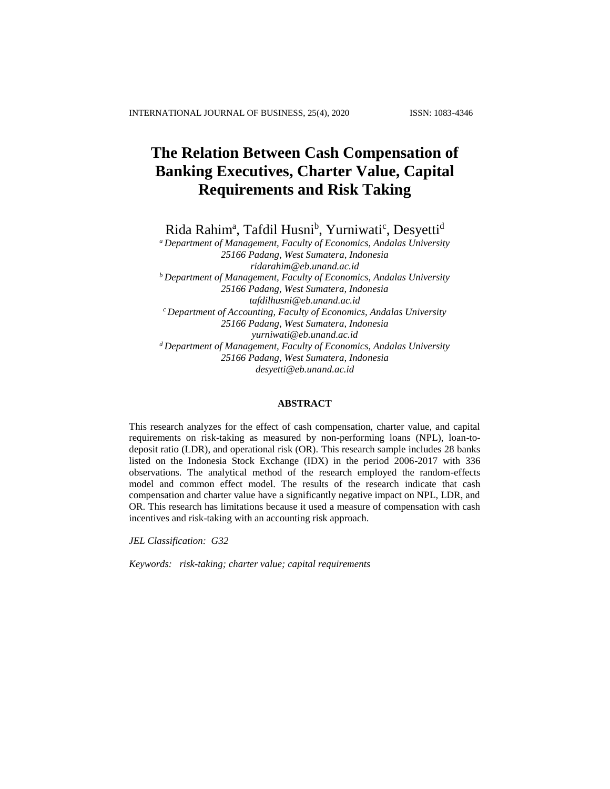# **The Relation Between Cash Compensation of Banking Executives, Charter Value, Capital Requirements and Risk Taking**

Rida Rahim<sup>a</sup>, Tafdil Husni<sup>b</sup>, Yurniwati<sup>c</sup>, Desyetti<sup>d</sup>

*<sup>a</sup>Department of Management, Faculty of Economics, Andalas University 25166 Padang, West Sumatera, Indonesia [ridarahim@eb.unand.ac.id](mailto:ridarahim@eb.unand.ac.id) <sup>b</sup>Department of Management, Faculty of Economics, Andalas University 25166 Padang, West Sumatera, Indonesia tafdilhusni@eb.unand.ac.id <sup>c</sup>Department of Accounting, Faculty of Economics, Andalas University 25166 Padang, West Sumatera, Indonesia [yurniwati@eb.unand.ac.id](mailto:yurniwati@eb.unand.ac.id) <sup>d</sup>Department of Management, Faculty of Economics, Andalas University 25166 Padang, West Sumatera, Indonesia desyetti@eb.unand.ac.id*

## **ABSTRACT**

This research analyzes for the effect of cash compensation, charter value, and capital requirements on risk-taking as measured by non-performing loans (NPL), loan-todeposit ratio (LDR), and operational risk (OR). This research sample includes 28 banks listed on the Indonesia Stock Exchange (IDX) in the period 2006-2017 with 336 observations. The analytical method of the research employed the random-effects model and common effect model. The results of the research indicate that cash compensation and charter value have a significantly negative impact on NPL, LDR, and OR. This research has limitations because it used a measure of compensation with cash incentives and risk-taking with an accounting risk approach.

*JEL Classification: G32*

*Keywords: risk-taking; charter value; capital requirements*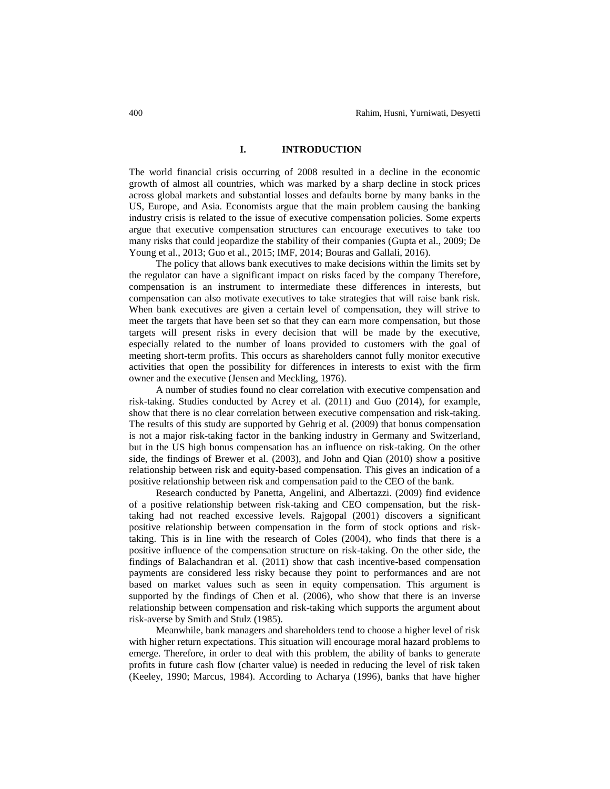### **I. INTRODUCTION**

The world financial crisis occurring of 2008 resulted in a decline in the economic growth of almost all countries, which was marked by a sharp decline in stock prices across global markets and substantial losses and defaults borne by many banks in the US, Europe, and Asia. Economists argue that the main problem causing the banking industry crisis is related to the issue of executive compensation policies. Some experts argue that executive compensation structures can encourage executives to take too many risks that could jeopardize the stability of their companies (Gupta et al., 2009; De Young et al., 2013; Guo et al., 2015; IMF, 2014; Bouras and Gallali, 2016).

The policy that allows bank executives to make decisions within the limits set by the regulator can have a significant impact on risks faced by the company Therefore, compensation is an instrument to intermediate these differences in interests, but compensation can also motivate executives to take strategies that will raise bank risk. When bank executives are given a certain level of compensation, they will strive to meet the targets that have been set so that they can earn more compensation, but those targets will present risks in every decision that will be made by the executive, especially related to the number of loans provided to customers with the goal of meeting short-term profits. This occurs as shareholders cannot fully monitor executive activities that open the possibility for differences in interests to exist with the firm owner and the executive (Jensen and Meckling, 1976).

A number of studies found no clear correlation with executive compensation and risk-taking. Studies conducted by Acrey et al. (2011) and Guo (2014), for example, show that there is no clear correlation between executive compensation and risk-taking. The results of this study are supported by Gehrig et al. (2009) that bonus compensation is not a major risk-taking factor in the banking industry in Germany and Switzerland, but in the US high bonus compensation has an influence on risk-taking. On the other side, the findings of Brewer et al. (2003), and John and Qian (2010) show a positive relationship between risk and equity-based compensation. This gives an indication of a positive relationship between risk and compensation paid to the CEO of the bank.

Research conducted by Panetta, Angelini, and Albertazzi. (2009) find evidence of a positive relationship between risk-taking and CEO compensation, but the risktaking had not reached excessive levels. Rajgopal (2001) discovers a significant positive relationship between compensation in the form of stock options and risktaking. This is in line with the research of Coles (2004), who finds that there is a positive influence of the compensation structure on risk-taking. On the other side, the findings of Balachandran et al. (2011) show that cash incentive-based compensation payments are considered less risky because they point to performances and are not based on market values such as seen in equity compensation. This argument is supported by the findings of Chen et al. (2006), who show that there is an inverse relationship between compensation and risk-taking which supports the argument about risk-averse by Smith and Stulz (1985).

Meanwhile, bank managers and shareholders tend to choose a higher level of risk with higher return expectations. This situation will encourage moral hazard problems to emerge. Therefore, in order to deal with this problem, the ability of banks to generate profits in future cash flow (charter value) is needed in reducing the level of risk taken (Keeley, 1990; Marcus, 1984). According to Acharya (1996), banks that have higher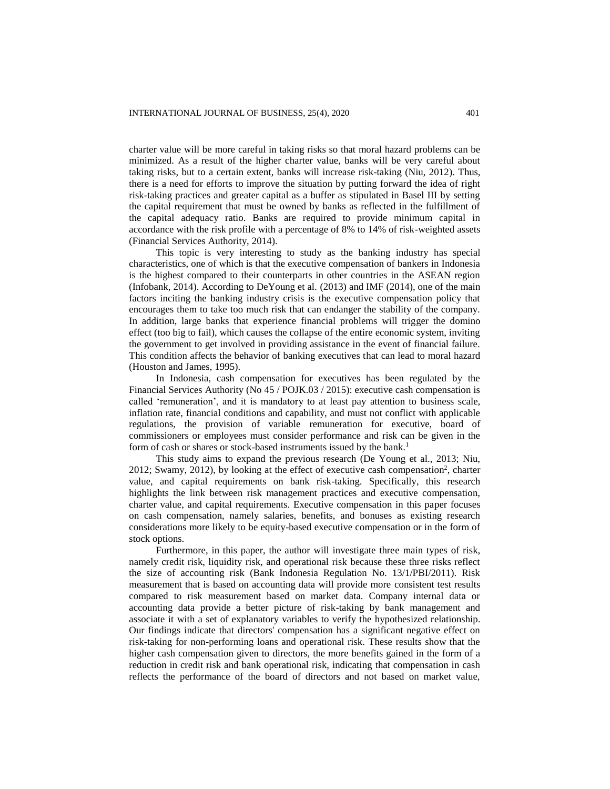charter value will be more careful in taking risks so that moral hazard problems can be minimized. As a result of the higher charter value, banks will be very careful about taking risks, but to a certain extent, banks will increase risk-taking (Niu, 2012). Thus, there is a need for efforts to improve the situation by putting forward the idea of right risk-taking practices and greater capital as a buffer as stipulated in Basel III by setting the capital requirement that must be owned by banks as reflected in the fulfillment of the capital adequacy ratio. Banks are required to provide minimum capital in accordance with the risk profile with a percentage of 8% to 14% of risk-weighted assets (Financial Services Authority, 2014).

This topic is very interesting to study as the banking industry has special characteristics, one of which is that the executive compensation of bankers in Indonesia is the highest compared to their counterparts in other countries in the ASEAN region (Infobank, 2014). According to DeYoung et al. (2013) and IMF (2014), one of the main factors inciting the banking industry crisis is the executive compensation policy that encourages them to take too much risk that can endanger the stability of the company. In addition, large banks that experience financial problems will trigger the domino effect (too big to fail), which causes the collapse of the entire economic system, inviting the government to get involved in providing assistance in the event of financial failure. This condition affects the behavior of banking executives that can lead to moral hazard (Houston and James, 1995).

In Indonesia, cash compensation for executives has been regulated by the Financial Services Authority (No 45 / POJK.03 / 2015): executive cash compensation is called 'remuneration', and it is mandatory to at least pay attention to business scale, inflation rate, financial conditions and capability, and must not conflict with applicable regulations, the provision of variable remuneration for executive, board of commissioners or employees must consider performance and risk can be given in the form of cash or shares or stock-based instruments issued by the bank.<sup>1</sup>

This study aims to expand the previous research (De Young et al., 2013; Niu, 2012; Swamy, 2012), by looking at the effect of executive cash compensation<sup>2</sup>, charter value, and capital requirements on bank risk-taking. Specifically, this research highlights the link between risk management practices and executive compensation, charter value, and capital requirements. Executive compensation in this paper focuses on cash compensation, namely salaries, benefits, and bonuses as existing research considerations more likely to be equity-based executive compensation or in the form of stock options.

Furthermore, in this paper, the author will investigate three main types of risk, namely credit risk, liquidity risk, and operational risk because these three risks reflect the size of accounting risk (Bank Indonesia Regulation No. 13/1/PBI/2011). Risk measurement that is based on accounting data will provide more consistent test results compared to risk measurement based on market data. Company internal data or accounting data provide a better picture of risk-taking by bank management and associate it with a set of explanatory variables to verify the hypothesized relationship. Our findings indicate that directors' compensation has a significant negative effect on risk-taking for non-performing loans and operational risk. These results show that the higher cash compensation given to directors, the more benefits gained in the form of a reduction in credit risk and bank operational risk, indicating that compensation in cash reflects the performance of the board of directors and not based on market value,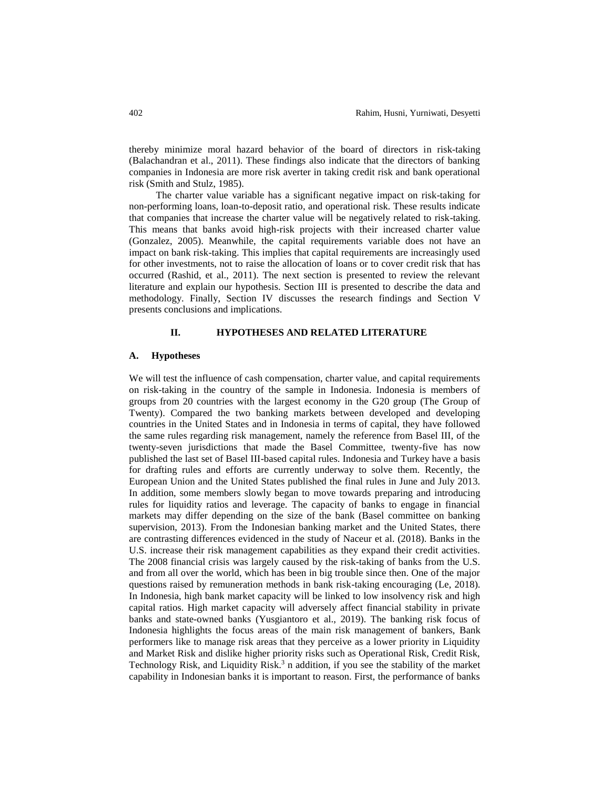thereby minimize moral hazard behavior of the board of directors in risk-taking (Balachandran et al., 2011). These findings also indicate that the directors of banking companies in Indonesia are more risk averter in taking credit risk and bank operational risk (Smith and Stulz, 1985).

The charter value variable has a significant negative impact on risk-taking for non-performing loans, loan-to-deposit ratio, and operational risk. These results indicate that companies that increase the charter value will be negatively related to risk-taking. This means that banks avoid high-risk projects with their increased charter value (Gonzalez, 2005). Meanwhile, the capital requirements variable does not have an impact on bank risk-taking. This implies that capital requirements are increasingly used for other investments, not to raise the allocation of loans or to cover credit risk that has occurred (Rashid, et al., 2011). The next section is presented to review the relevant literature and explain our hypothesis. Section III is presented to describe the data and methodology. Finally, Section IV discusses the research findings and Section V presents conclusions and implications.

#### **II. HYPOTHESES AND RELATED LITERATURE**

## **A. Hypotheses**

We will test the influence of cash compensation, charter value, and capital requirements on risk-taking in the country of the sample in Indonesia. Indonesia is members of groups from 20 countries with the largest economy in the G20 group (The Group of Twenty). Compared the two banking markets between developed and developing countries in the United States and in Indonesia in terms of capital, they have followed the same rules regarding risk management, namely the reference from Basel III, of the twenty-seven jurisdictions that made the Basel Committee, twenty-five has now published the last set of Basel III-based capital rules. Indonesia and Turkey have a basis for drafting rules and efforts are currently underway to solve them. Recently, the European Union and the United States published the final rules in June and July 2013. In addition, some members slowly began to move towards preparing and introducing rules for liquidity ratios and leverage. The capacity of banks to engage in financial markets may differ depending on the size of the bank (Basel committee on banking supervision, 2013). From the Indonesian banking market and the United States, there are contrasting differences evidenced in the study of Naceur et al. (2018). Banks in the U.S. increase their risk management capabilities as they expand their credit activities. The 2008 financial crisis was largely caused by the risk-taking of banks from the U.S. and from all over the world, which has been in big trouble since then. One of the major questions raised by remuneration methods in bank risk-taking encouraging (Le, 2018). In Indonesia, high bank market capacity will be linked to low insolvency risk and high capital ratios. High market capacity will adversely affect financial stability in private banks and state-owned banks (Yusgiantoro et al., 2019). The banking risk focus of Indonesia highlights the focus areas of the main risk management of bankers, Bank performers like to manage risk areas that they perceive as a lower priority in Liquidity and Market Risk and dislike higher priority risks such as Operational Risk, Credit Risk, Technology Risk, and Liquidity Risk. <sup>3</sup> n addition, if you see the stability of the market capability in Indonesian banks it is important to reason. First, the performance of banks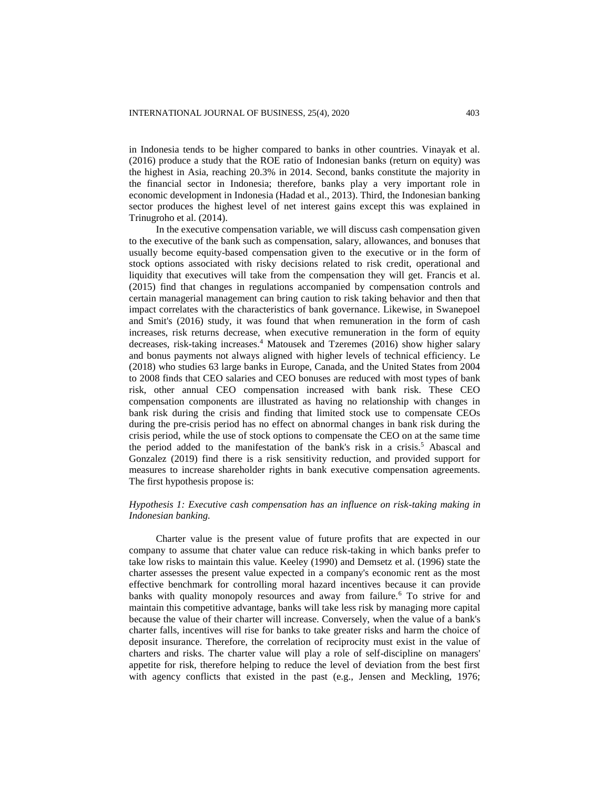in Indonesia tends to be higher compared to banks in other countries. Vinayak et al. (2016) produce a study that the ROE ratio of Indonesian banks (return on equity) was the highest in Asia, reaching 20.3% in 2014. Second, banks constitute the majority in the financial sector in Indonesia; therefore, banks play a very important role in economic development in Indonesia (Hadad et al., 2013). Third, the Indonesian banking sector produces the highest level of net interest gains except this was explained in Trinugroho et al. (2014).

In the executive compensation variable, we will discuss cash compensation given to the executive of the bank such as compensation, salary, allowances, and bonuses that usually become equity-based compensation given to the executive or in the form of stock options associated with risky decisions related to risk credit, operational and liquidity that executives will take from the compensation they will get. Francis et al. (2015) find that changes in regulations accompanied by compensation controls and certain managerial management can bring caution to risk taking behavior and then that impact correlates with the characteristics of bank governance. Likewise, in Swanepoel and Smit's (2016) study, it was found that when remuneration in the form of cash increases, risk returns decrease, when executive remuneration in the form of equity decreases, risk-taking increases.<sup>4</sup> Matousek and Tzeremes (2016) show higher salary and bonus payments not always aligned with higher levels of technical efficiency. Le (2018) who studies 63 large banks in Europe, Canada, and the United States from 2004 to 2008 finds that CEO salaries and CEO bonuses are reduced with most types of bank risk, other annual CEO compensation increased with bank risk. These CEO compensation components are illustrated as having no relationship with changes in bank risk during the crisis and finding that limited stock use to compensate CEOs during the pre-crisis period has no effect on abnormal changes in bank risk during the crisis period, while the use of stock options to compensate the CEO on at the same time the period added to the manifestation of the bank's risk in a crisis.<sup>5</sup> Abascal and Gonzalez (2019) find there is a risk sensitivity reduction, and provided support for measures to increase shareholder rights in bank executive compensation agreements. The first hypothesis propose is:

## *Hypothesis 1: Executive cash compensation has an influence on risk-taking making in Indonesian banking.*

Charter value is the present value of future profits that are expected in our company to assume that chater value can reduce risk-taking in which banks prefer to take low risks to maintain this value. Keeley (1990) and Demsetz et al. (1996) state the charter assesses the present value expected in a company's economic rent as the most effective benchmark for controlling moral hazard incentives because it can provide banks with quality monopoly resources and away from failure.<sup>6</sup> To strive for and maintain this competitive advantage, banks will take less risk by managing more capital because the value of their charter will increase. Conversely, when the value of a bank's charter falls, incentives will rise for banks to take greater risks and harm the choice of deposit insurance. Therefore, the correlation of reciprocity must exist in the value of charters and risks. The charter value will play a role of self-discipline on managers' appetite for risk, therefore helping to reduce the level of deviation from the best first with agency conflicts that existed in the past (e.g., Jensen and Meckling, 1976;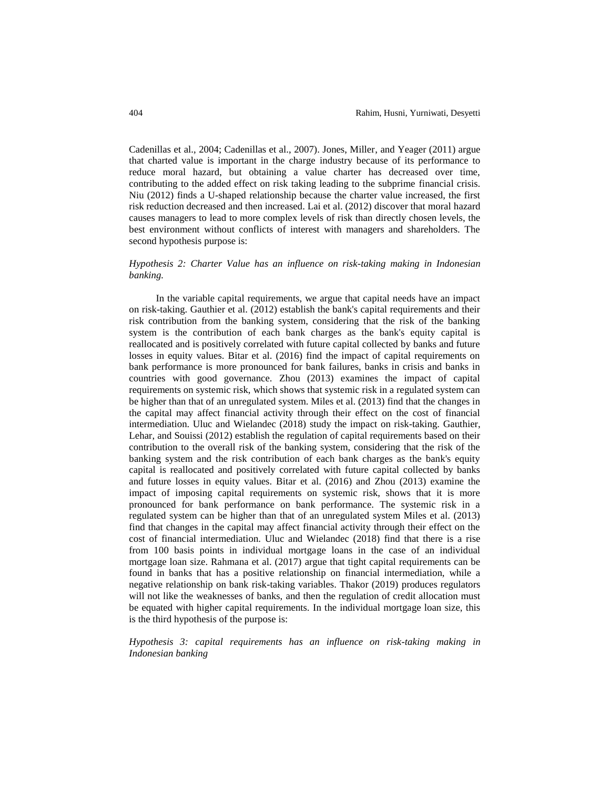Cadenillas et al., 2004; Cadenillas et al., 2007). Jones, Miller, and Yeager (2011) argue that charted value is important in the charge industry because of its performance to reduce moral hazard, but obtaining a value charter has decreased over time, contributing to the added effect on risk taking leading to the subprime financial crisis. Niu (2012) finds a U-shaped relationship because the charter value increased, the first risk reduction decreased and then increased. Lai et al. (2012) discover that moral hazard causes managers to lead to more complex levels of risk than directly chosen levels, the best environment without conflicts of interest with managers and shareholders. The second hypothesis purpose is:

## *Hypothesis 2: Charter Value has an influence on risk-taking making in Indonesian banking.*

In the variable capital requirements, we argue that capital needs have an impact on risk-taking. Gauthier et al. (2012) establish the bank's capital requirements and their risk contribution from the banking system, considering that the risk of the banking system is the contribution of each bank charges as the bank's equity capital is reallocated and is positively correlated with future capital collected by banks and future losses in equity values. Bitar et al. (2016) find the impact of capital requirements on bank performance is more pronounced for bank failures, banks in crisis and banks in countries with good governance. Zhou (2013) examines the impact of capital requirements on systemic risk, which shows that systemic risk in a regulated system can be higher than that of an unregulated system. Miles et al. (2013) find that the changes in the capital may affect financial activity through their effect on the cost of financial intermediation. Uluc and Wielandec (2018) study the impact on risk-taking. Gauthier, Lehar, and Souissi (2012) establish the regulation of capital requirements based on their contribution to the overall risk of the banking system, considering that the risk of the banking system and the risk contribution of each bank charges as the bank's equity capital is reallocated and positively correlated with future capital collected by banks and future losses in equity values. Bitar et al. (2016) and Zhou (2013) examine the impact of imposing capital requirements on systemic risk, shows that it is more pronounced for bank performance on bank performance. The systemic risk in a regulated system can be higher than that of an unregulated system Miles et al. (2013) find that changes in the capital may affect financial activity through their effect on the cost of financial intermediation. Uluc and Wielandec (2018) find that there is a rise from 100 basis points in individual mortgage loans in the case of an individual mortgage loan size. Rahmana et al. (2017) argue that tight capital requirements can be found in banks that has a positive relationship on financial intermediation, while a negative relationship on bank risk-taking variables. Thakor (2019) produces regulators will not like the weaknesses of banks, and then the regulation of credit allocation must be equated with higher capital requirements. In the individual mortgage loan size, this is the third hypothesis of the purpose is:

*Hypothesis 3: capital requirements has an influence on risk-taking making in Indonesian banking*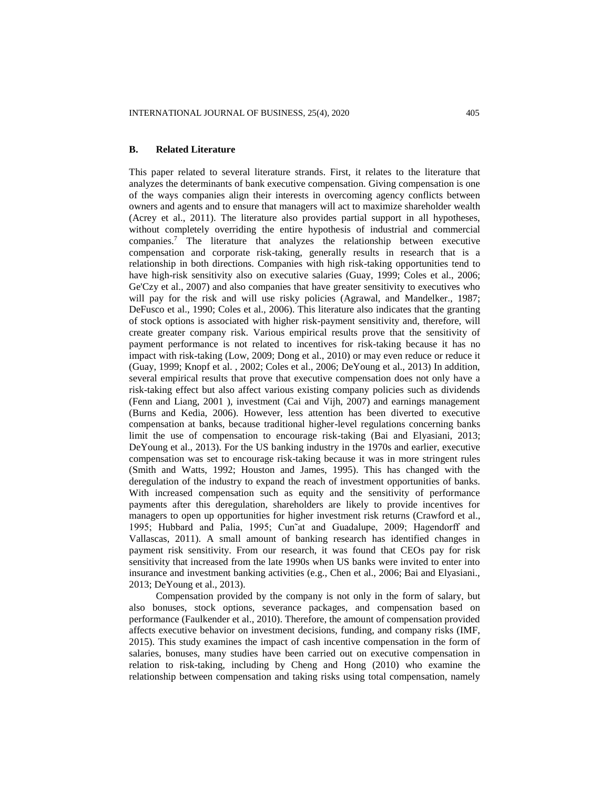### **B. Related Literature**

This paper related to several literature strands. First, it relates to the literature that analyzes the determinants of bank executive compensation. Giving compensation is one of the ways companies align their interests in overcoming agency conflicts between owners and agents and to ensure that managers will act to maximize shareholder wealth (Acrey et al., 2011). The literature also provides partial support in all hypotheses, without completely overriding the entire hypothesis of industrial and commercial companies.<sup>7</sup> The literature that analyzes the relationship between executive compensation and corporate risk-taking, generally results in research that is a relationship in both directions. Companies with high risk-taking opportunities tend to have high-risk sensitivity also on executive salaries (Guay, 1999; Coles et al., 2006; Ge'Czy et al., 2007) and also companies that have greater sensitivity to executives who will pay for the risk and will use risky policies (Agrawal, and Mandelker., 1987; DeFusco et al., 1990; Coles et al., 2006). This literature also indicates that the granting of stock options is associated with higher risk-payment sensitivity and, therefore, will create greater company risk. Various empirical results prove that the sensitivity of payment performance is not related to incentives for risk-taking because it has no impact with risk-taking (Low, 2009; Dong et al., 2010) or may even reduce or reduce it (Guay, 1999; Knopf et al. , 2002; Coles et al., 2006; DeYoung et al., 2013) In addition, several empirical results that prove that executive compensation does not only have a risk-taking effect but also affect various existing company policies such as dividends (Fenn and Liang, 2001 ), investment (Cai and Vijh, 2007) and earnings management (Burns and Kedia, 2006). However, less attention has been diverted to executive compensation at banks, because traditional higher-level regulations concerning banks limit the use of compensation to encourage risk-taking (Bai and Elyasiani, 2013; DeYoung et al., 2013). For the US banking industry in the 1970s and earlier, executive compensation was set to encourage risk-taking because it was in more stringent rules (Smith and Watts, 1992; Houston and James, 1995). This has changed with the deregulation of the industry to expand the reach of investment opportunities of banks. With increased compensation such as equity and the sensitivity of performance payments after this deregulation, shareholders are likely to provide incentives for managers to open up opportunities for higher investment risk returns (Crawford et al., 1995; Hubbard and Palia, 1995; Cun˜at and Guadalupe, 2009; Hagendorff and Vallascas, 2011). A small amount of banking research has identified changes in payment risk sensitivity. From our research, it was found that CEOs pay for risk sensitivity that increased from the late 1990s when US banks were invited to enter into insurance and investment banking activities (e.g., Chen et al., 2006; Bai and Elyasiani., 2013; DeYoung et al., 2013).

Compensation provided by the company is not only in the form of salary, but also bonuses, stock options, severance packages, and compensation based on performance (Faulkender et al., 2010). Therefore, the amount of compensation provided affects executive behavior on investment decisions, funding, and company risks (IMF, 2015). This study examines the impact of cash incentive compensation in the form of salaries, bonuses, many studies have been carried out on executive compensation in relation to risk-taking, including by Cheng and Hong (2010) who examine the relationship between compensation and taking risks using total compensation, namely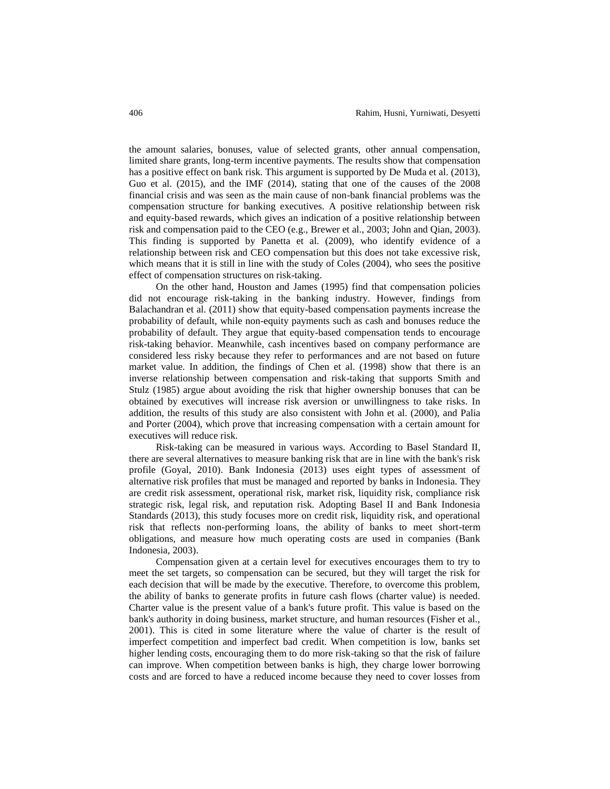the amount salaries, bonuses, value of selected grants, other annual compensation, limited share grants, long-term incentive payments. The results show that compensation has a positive effect on bank risk. This argument is supported by De Muda et al. (2013), Guo et al. (2015), and the IMF (2014), stating that one of the causes of the 2008 financial crisis and was seen as the main cause of non-bank financial problems was the compensation structure for banking executives. A positive relationship between risk and equity-based rewards, which gives an indication of a positive relationship between risk and compensation paid to the CEO (e.g., Brewer et al., 2003; John and Qian, 2003). This finding is supported by Panetta et al. (2009), who identify evidence of a relationship between risk and CEO compensation but this does not take excessive risk, which means that it is still in line with the study of Coles (2004), who sees the positive effect of compensation structures on risk-taking.

On the other hand, Houston and James (1995) find that compensation policies did not encourage risk-taking in the banking industry. However, findings from Balachandran et al. (2011) show that equity-based compensation payments increase the probability of default, while non-equity payments such as cash and bonuses reduce the probability of default. They argue that equity-based compensation tends to encourage risk-taking behavior. Meanwhile, cash incentives based on company performance are considered less risky because they refer to performances and are not based on future market value. In addition, the findings of Chen et al. (1998) show that there is an inverse relationship between compensation and risk-taking that supports Smith and Stulz (1985) argue about avoiding the risk that higher ownership bonuses that can be obtained by executives will increase risk aversion or unwillingness to take risks. In addition, the results of this study are also consistent with John et al. (2000), and Palia and Porter (2004), which prove that increasing compensation with a certain amount for executives will reduce risk.

Risk-taking can be measured in various ways. According to Basel Standard II, there are several alternatives to measure banking risk that are in line with the bank's risk profile (Goyal, 2010). Bank Indonesia (2013) uses eight types of assessment of alternative risk profiles that must be managed and reported by banks in Indonesia. They are credit risk assessment, operational risk, market risk, liquidity risk, compliance risk strategic risk, legal risk, and reputation risk. Adopting Basel II and Bank Indonesia Standards (2013), this study focuses more on credit risk, liquidity risk, and operational risk that reflects non-performing loans, the ability of banks to meet short-term obligations, and measure how much operating costs are used in companies (Bank Indonesia, 2003).

Compensation given at a certain level for executives encourages them to try to meet the set targets, so compensation can be secured, but they will target the risk for each decision that will be made by the executive. Therefore, to overcome this problem, the ability of banks to generate profits in future cash flows (charter value) is needed. Charter value is the present value of a bank's future profit. This value is based on the bank's authority in doing business, market structure, and human resources (Fisher et al., 2001). This is cited in some literature where the value of charter is the result of imperfect competition and imperfect bad credit. When competition is low, banks set higher lending costs, encouraging them to do more risk-taking so that the risk of failure can improve. When competition between banks is high, they charge lower borrowing costs and are forced to have a reduced income because they need to cover losses from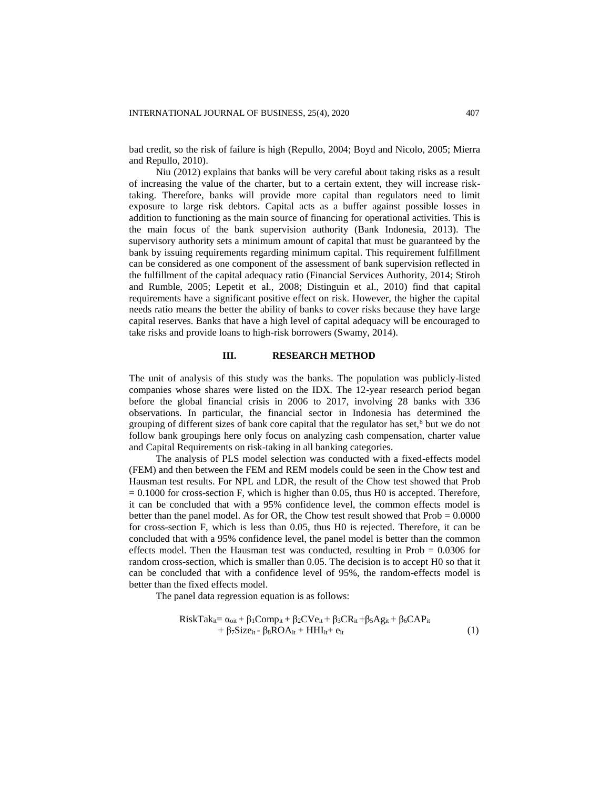bad credit, so the risk of failure is high (Repullo, 2004; Boyd and Nicolo, 2005; Mierra and Repullo, 2010).

Niu (2012) explains that banks will be very careful about taking risks as a result of increasing the value of the charter, but to a certain extent, they will increase risktaking. Therefore, banks will provide more capital than regulators need to limit exposure to large risk debtors. Capital acts as a buffer against possible losses in addition to functioning as the main source of financing for operational activities. This is the main focus of the bank supervision authority (Bank Indonesia, 2013). The supervisory authority sets a minimum amount of capital that must be guaranteed by the bank by issuing requirements regarding minimum capital. This requirement fulfillment can be considered as one component of the assessment of bank supervision reflected in the fulfillment of the capital adequacy ratio (Financial Services Authority, 2014; Stiroh and Rumble, 2005; Lepetit et al., 2008; Distinguin et al., 2010) find that capital requirements have a significant positive effect on risk. However, the higher the capital needs ratio means the better the ability of banks to cover risks because they have large capital reserves. Banks that have a high level of capital adequacy will be encouraged to take risks and provide loans to high-risk borrowers (Swamy, 2014).

## **III. RESEARCH METHOD**

The unit of analysis of this study was the banks. The population was publicly-listed companies whose shares were listed on the IDX. The 12-year research period began before the global financial crisis in 2006 to 2017, involving 28 banks with 336 observations. In particular, the financial sector in Indonesia has determined the grouping of different sizes of bank core capital that the regulator has set, $8$  but we do not follow bank groupings here only focus on analyzing cash compensation, charter value and Capital Requirements on risk-taking in all banking categories.

The analysis of PLS model selection was conducted with a fixed-effects model (FEM) and then between the FEM and REM models could be seen in the Chow test and Hausman test results. For NPL and LDR, the result of the Chow test showed that Prob  $= 0.1000$  for cross-section F, which is higher than 0.05, thus H0 is accepted. Therefore, it can be concluded that with a 95% confidence level, the common effects model is better than the panel model. As for OR, the Chow test result showed that  $Prob = 0.0000$ for cross-section F, which is less than 0.05, thus H0 is rejected. Therefore, it can be concluded that with a 95% confidence level, the panel model is better than the common effects model. Then the Hausman test was conducted, resulting in Prob  $= 0.0306$  for random cross-section, which is smaller than 0.05. The decision is to accept H0 so that it can be concluded that with a confidence level of 95%, the random-effects model is better than the fixed effects model.

The panel data regression equation is as follows:

$$
RiskTake_{it} = \alpha_{oit} + \beta_1Comp_{it} + \beta_2CVe_{it} + \beta_3CR_{it} + \beta_5Ag_{it} + \beta_6CAP_{it} + \beta_7Size_{it} - \beta_8ROA_{it} + HHI_{it} + e_{it}
$$
\n(1)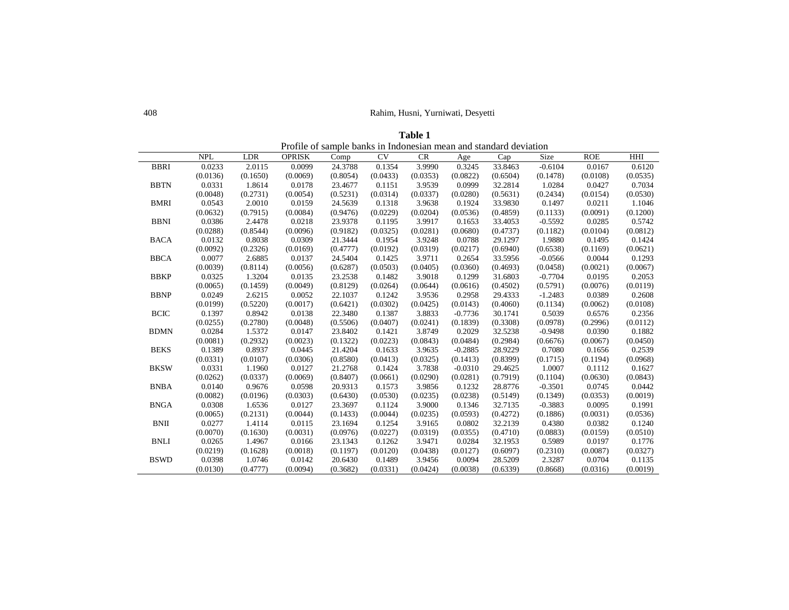## 408 Rahim, Husni, Yurniwati, Desyetti

| Profile of sample banks in Indonesian mean and standard deviation |            |            |               |          |          |           |           |          |           |            |          |
|-------------------------------------------------------------------|------------|------------|---------------|----------|----------|-----------|-----------|----------|-----------|------------|----------|
|                                                                   | <b>NPL</b> | <b>LDR</b> | <b>OPRISK</b> | Comp     | CV       | <b>CR</b> | Age       | Cap      | Size      | <b>ROE</b> | HHI      |
| <b>BBRI</b>                                                       | 0.0233     | 2.0115     | 0.0099        | 24.3788  | 0.1354   | 3.9990    | 0.3245    | 33.8463  | $-0.6104$ | 0.0167     | 0.6120   |
|                                                                   | (0.0136)   | (0.1650)   | (0.0069)      | (0.8054) | (0.0433) | (0.0353)  | (0.0822)  | (0.6504) | (0.1478)  | (0.0108)   | (0.0535) |
| <b>BBTN</b>                                                       | 0.0331     | 1.8614     | 0.0178        | 23.4677  | 0.1151   | 3.9539    | 0.0999    | 32.2814  | 1.0284    | 0.0427     | 0.7034   |
|                                                                   | (0.0048)   | (0.2731)   | (0.0054)      | (0.5231) | (0.0314) | (0.0337)  | (0.0280)  | (0.5631) | (0.2434)  | (0.0154)   | (0.0530) |
| <b>BMRI</b>                                                       | 0.0543     | 2.0010     | 0.0159        | 24.5639  | 0.1318   | 3.9638    | 0.1924    | 33.9830  | 0.1497    | 0.0211     | 1.1046   |
|                                                                   | (0.0632)   | (0.7915)   | (0.0084)      | (0.9476) | (0.0229) | (0.0204)  | (0.0536)  | (0.4859) | (0.1133)  | (0.0091)   | (0.1200) |
| <b>BBNI</b>                                                       | 0.0386     | 2.4478     | 0.0218        | 23.9378  | 0.1195   | 3.9917    | 0.1653    | 33.4053  | $-0.5592$ | 0.0285     | 0.5742   |
|                                                                   | (0.0288)   | (0.8544)   | (0.0096)      | (0.9182) | (0.0325) | (0.0281)  | (0.0680)  | (0.4737) | (0.1182)  | (0.0104)   | (0.0812) |
| <b>BACA</b>                                                       | 0.0132     | 0.8038     | 0.0309        | 21.3444  | 0.1954   | 3.9248    | 0.0788    | 29.1297  | 1.9880    | 0.1495     | 0.1424   |
|                                                                   | (0.0092)   | (0.2326)   | (0.0169)      | (0.4777) | (0.0192) | (0.0319)  | (0.0217)  | (0.6940) | (0.6538)  | (0.1169)   | (0.0621) |
| <b>BBCA</b>                                                       | 0.0077     | 2.6885     | 0.0137        | 24.5404  | 0.1425   | 3.9711    | 0.2654    | 33.5956  | $-0.0566$ | 0.0044     | 0.1293   |
|                                                                   | (0.0039)   | (0.8114)   | (0.0056)      | (0.6287) | (0.0503) | (0.0405)  | (0.0360)  | (0.4693) | (0.0458)  | (0.0021)   | (0.0067) |
| <b>BBKP</b>                                                       | 0.0325     | 1.3204     | 0.0135        | 23.2538  | 0.1482   | 3.9018    | 0.1299    | 31.6803  | $-0.7704$ | 0.0195     | 0.2053   |
|                                                                   | (0.0065)   | (0.1459)   | (0.0049)      | (0.8129) | (0.0264) | (0.0644)  | (0.0616)  | (0.4502) | (0.5791)  | (0.0076)   | (0.0119) |
| <b>BBNP</b>                                                       | 0.0249     | 2.6215     | 0.0052        | 22.1037  | 0.1242   | 3.9536    | 0.2958    | 29.4333  | $-1.2483$ | 0.0389     | 0.2608   |
|                                                                   | (0.0199)   | (0.5220)   | (0.0017)      | (0.6421) | (0.0302) | (0.0425)  | (0.0143)  | (0.4060) | (0.1134)  | (0.0062)   | (0.0108) |
| <b>BCIC</b>                                                       | 0.1397     | 0.8942     | 0.0138        | 22.3480  | 0.1387   | 3.8833    | $-0.7736$ | 30.1741  | 0.5039    | 0.6576     | 0.2356   |
|                                                                   | (0.0255)   | (0.2780)   | (0.0048)      | (0.5506) | (0.0407) | (0.0241)  | (0.1839)  | (0.3308) | (0.0978)  | (0.2996)   | (0.0112) |
| <b>BDMN</b>                                                       | 0.0284     | 1.5372     | 0.0147        | 23.8402  | 0.1421   | 3.8749    | 0.2029    | 32.5238  | $-0.9498$ | 0.0390     | 0.1882   |
|                                                                   | (0.0081)   | (0.2932)   | (0.0023)      | (0.1322) | (0.0223) | (0.0843)  | (0.0484)  | (0.2984) | (0.6676)  | (0.0067)   | (0.0450) |
| <b>BEKS</b>                                                       | 0.1389     | 0.8937     | 0.0445        | 21.4204  | 0.1633   | 3.9635    | $-0.2885$ | 28.9229  | 0.7080    | 0.1656     | 0.2539   |
|                                                                   | (0.0331)   | (0.0107)   | (0.0306)      | (0.8580) | (0.0413) | (0.0325)  | (0.1413)  | (0.8399) | (0.1715)  | (0.1194)   | (0.0968) |
| <b>BKSW</b>                                                       | 0.0331     | 1.1960     | 0.0127        | 21.2768  | 0.1424   | 3.7838    | $-0.0310$ | 29.4625  | 1.0007    | 0.1112     | 0.1627   |
|                                                                   | (0.0262)   | (0.0337)   | (0.0069)      | (0.8407) | (0.0661) | (0.0290)  | (0.0281)  | (0.7919) | (0.1104)  | (0.0630)   | (0.0843) |
| <b>BNBA</b>                                                       | 0.0140     | 0.9676     | 0.0598        | 20.9313  | 0.1573   | 3.9856    | 0.1232    | 28.8776  | $-0.3501$ | 0.0745     | 0.0442   |
|                                                                   | (0.0082)   | (0.0196)   | (0.0303)      | (0.6430) | (0.0530) | (0.0235)  | (0.0238)  | (0.5149) | (0.1349)  | (0.0353)   | (0.0019) |
| <b>BNGA</b>                                                       | 0.0308     | 1.6536     | 0.0127        | 23.3697  | 0.1124   | 3.9000    | 0.1346    | 32.7135  | $-0.3883$ | 0.0095     | 0.1991   |
|                                                                   | (0.0065)   | (0.2131)   | (0.0044)      | (0.1433) | (0.0044) | (0.0235)  | (0.0593)  | (0.4272) | (0.1886)  | (0.0031)   | (0.0536) |
| <b>BNII</b>                                                       | 0.0277     | 1.4114     | 0.0115        | 23.1694  | 0.1254   | 3.9165    | 0.0802    | 32.2139  | 0.4380    | 0.0382     | 0.1240   |
|                                                                   | (0.0070)   | (0.1630)   | (0.0031)      | (0.0976) | (0.0227) | (0.0319)  | (0.0355)  | (0.4710) | (0.0883)  | (0.0159)   | (0.0510) |
| <b>BNLI</b>                                                       | 0.0265     | 1.4967     | 0.0166        | 23.1343  | 0.1262   | 3.9471    | 0.0284    | 32.1953  | 0.5989    | 0.0197     | 0.1776   |
|                                                                   | (0.0219)   | (0.1628)   | (0.0018)      | (0.1197) | (0.0120) | (0.0438)  | (0.0127)  | (0.6097) | (0.2310)  | (0.0087)   | (0.0327) |
| <b>BSWD</b>                                                       | 0.0398     | 1.0746     | 0.0142        | 20.6430  | 0.1489   | 3.9456    | 0.0094    | 28.5209  | 2.3287    | 0.0704     | 0.1135   |
|                                                                   | (0.0130)   | (0.4777)   | (0.0094)      | (0.3682) | (0.0331) | (0.0424)  | (0.0038)  | (0.6339) | (0.8668)  | (0.0316)   | (0.0019) |

**Table 1**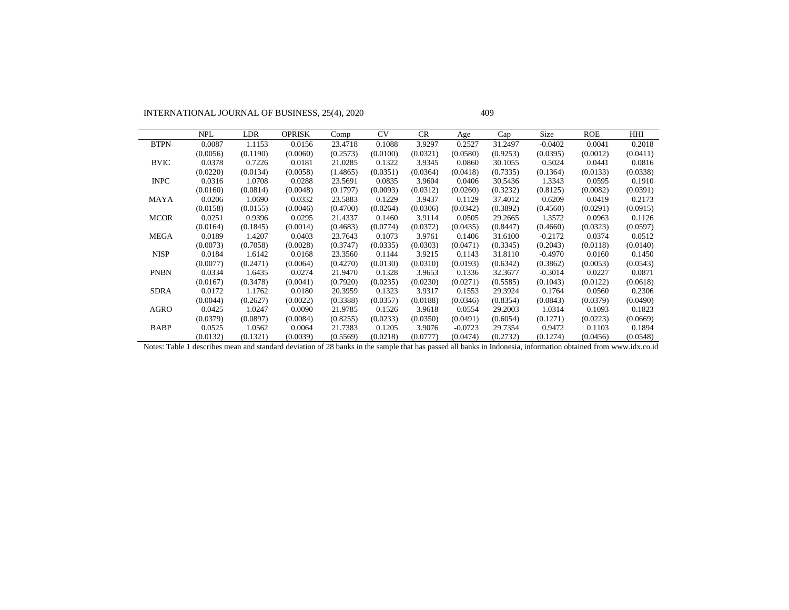INTERNATIONAL JOURNAL OF BUSINESS, 25(4), 2020 409

|             | <b>NPL</b> | <b>LDR</b> | <b>OPRISK</b> | Comp     | <b>CV</b> | <b>CR</b> | Age       | Cap      | <b>Size</b> | ROE      | HHI      |
|-------------|------------|------------|---------------|----------|-----------|-----------|-----------|----------|-------------|----------|----------|
| <b>BTPN</b> | 0.0087     | 1.1153     | 0.0156        | 23.4718  | 0.1088    | 3.9297    | 0.2527    | 31.2497  | $-0.0402$   | 0.0041   | 0.2018   |
|             | (0.0056)   | (0.1190)   | (0.0060)      | (0.2573) | (0.0100)  | (0.0321)  | (0.0580)  | (0.9253) | (0.0395)    | (0.0012) | (0.0411) |
| <b>BVIC</b> | 0.0378     | 0.7226     | 0.0181        | 21.0285  | 0.1322    | 3.9345    | 0.0860    | 30.1055  | 0.5024      | 0.0441   | 0.0816   |
|             | (0.0220)   | (0.0134)   | (0.0058)      | (1.4865) | (0.0351)  | (0.0364)  | (0.0418)  | (0.7335) | (0.1364)    | (0.0133) | (0.0338) |
| <b>INPC</b> | 0.0316     | 1.0708     | 0.0288        | 23.5691  | 0.0835    | 3.9604    | 0.0406    | 30.5436  | 1.3343      | 0.0595   | 0.1910   |
|             | (0.0160)   | (0.0814)   | (0.0048)      | (0.1797) | (0.0093)  | (0.0312)  | (0.0260)  | (0.3232) | (0.8125)    | (0.0082) | (0.0391) |
| <b>MAYA</b> | 0.0206     | 1.0690     | 0.0332        | 23.5883  | 0.1229    | 3.9437    | 0.1129    | 37.4012  | 0.6209      | 0.0419   | 0.2173   |
|             | (0.0158)   | (0.0155)   | (0.0046)      | (0.4700) | (0.0264)  | (0.0306)  | (0.0342)  | (0.3892) | (0.4560)    | (0.0291) | (0.0915) |
| <b>MCOR</b> | 0.0251     | 0.9396     | 0.0295        | 21.4337  | 0.1460    | 3.9114    | 0.0505    | 29.2665  | 1.3572      | 0.0963   | 0.1126   |
|             | (0.0164)   | (0.1845)   | (0.0014)      | (0.4683) | (0.0774)  | (0.0372)  | (0.0435)  | (0.8447) | (0.4660)    | (0.0323) | (0.0597) |
| <b>MEGA</b> | 0.0189     | 1.4207     | 0.0403        | 23.7643  | 0.1073    | 3.9761    | 0.1406    | 31.6100  | $-0.2172$   | 0.0374   | 0.0512   |
|             | (0.0073)   | (0.7058)   | (0.0028)      | (0.3747) | (0.0335)  | (0.0303)  | (0.0471)  | (0.3345) | (0.2043)    | (0.0118) | (0.0140) |
| <b>NISP</b> | 0.0184     | 1.6142     | 0.0168        | 23.3560  | 0.1144    | 3.9215    | 0.1143    | 31.8110  | $-0.4970$   | 0.0160   | 0.1450   |
|             | (0.0077)   | (0.2471)   | (0.0064)      | (0.4270) | (0.0130)  | (0.0310)  | (0.0193)  | (0.6342) | (0.3862)    | (0.0053) | (0.0543) |
| <b>PNBN</b> | 0.0334     | 1.6435     | 0.0274        | 21.9470  | 0.1328    | 3.9653    | 0.1336    | 32.3677  | $-0.3014$   | 0.0227   | 0.0871   |
|             | (0.0167)   | (0.3478)   | (0.0041)      | (0.7920) | (0.0235)  | (0.0230)  | (0.0271)  | (0.5585) | (0.1043)    | (0.0122) | (0.0618) |
| <b>SDRA</b> | 0.0172     | 1.1762     | 0.0180        | 20.3959  | 0.1323    | 3.9317    | 0.1553    | 29.3924  | 0.1764      | 0.0560   | 0.2306   |
|             | (0.0044)   | (0.2627)   | (0.0022)      | (0.3388) | (0.0357)  | (0.0188)  | (0.0346)  | (0.8354) | (0.0843)    | (0.0379) | (0.0490) |
| <b>AGRO</b> | 0.0425     | 1.0247     | 0.0090        | 21.9785  | 0.1526    | 3.9618    | 0.0554    | 29.2003  | 1.0314      | 0.1093   | 0.1823   |
|             | (0.0379)   | (0.0897)   | (0.0084)      | (0.8255) | (0.0233)  | (0.0350)  | (0.0491)  | (0.6054) | (0.1271)    | (0.0223) | (0.0669) |
| <b>BABP</b> | 0.0525     | 1.0562     | 0.0064        | 21.7383  | 0.1205    | 3.9076    | $-0.0723$ | 29.7354  | 0.9472      | 0.1103   | 0.1894   |
|             | (0.0132)   | (0.1321)   | (0.0039)      | (0.5569) | (0.0218)  | (0.0777)  | (0.0474)  | (0.2732) | (0.1274)    | (0.0456) | (0.0548) |

Notes: Table 1 describes mean and standard deviation of 28 banks in the sample that has passed all banks in Indonesia, information obtained from www.idx.co.id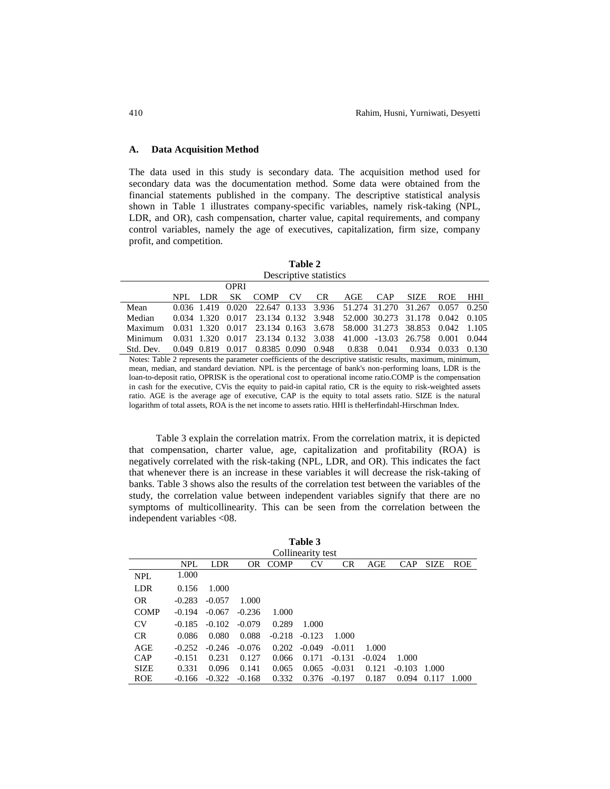## **A. Data Acquisition Method**

The data used in this study is secondary data. The acquisition method used for secondary data was the documentation method. Some data were obtained from the financial statements published in the company. The descriptive statistical analysis shown in Table 1 illustrates company-specific variables, namely risk-taking (NPL, LDR, and OR), cash compensation, charter value, capital requirements, and company control variables, namely the age of executives, capitalization, firm size, company profit, and competition.

| Table 2                |
|------------------------|
| Descriptive statistics |

|           |         | OPRI |                                                                       |  |  |              |       |       |
|-----------|---------|------|-----------------------------------------------------------------------|--|--|--------------|-------|-------|
|           | NPL LDR | SK - | COMP CV CR AGE CAP                                                    |  |  | SIZE ROE HHI |       |       |
| Mean      |         |      | 0.036 1.419 0.020 22.647 0.133 3.936 51.274 31.270 31.267 0.057 0.250 |  |  |              |       |       |
| Median    |         |      | 0.034 1.320 0.017 23.134 0.132 3.948 52.000 30.273 31.178 0.042 0.105 |  |  |              |       |       |
| Maximum   |         |      | 0.031 1.320 0.017 23.134 0.163 3.678 58.000 31.273 38.853 0.042 1.105 |  |  |              |       |       |
| Minimum   |         |      | 0.031 1.320 0.017 23.134 0.132 3.038 41.000 -13.03 26.758 0.001 0.044 |  |  |              |       |       |
| Std. Dev. |         |      | 0.049 0.819 0.017 0.8385 0.090 0.948 0.838 0.041                      |  |  | 0.934        | 0.033 | 0.130 |
|           |         |      |                                                                       |  |  |              |       |       |

Notes: Table 2 represents the parameter coefficients of the descriptive statistic results, maximum, minimum, mean, median, and standard deviation. NPL is the percentage of bank's non-performing loans, LDR is the loan-to-deposit ratio, OPRISK is the operational cost to operational income ratio.COMP is the compensation in cash for the executive, CVis the equity to paid-in capital ratio, CR is the equity to risk-weighted assets ratio. AGE is the average age of executive, CAP is the equity to total assets ratio. SIZE is the natural logarithm of total assets, ROA is the net income to assets ratio. HHI is theHerfindahl-Hirschman Index.

Table 3 explain the correlation matrix. From the correlation matrix, it is depicted that compensation, charter value, age, capitalization and profitability (ROA) is negatively correlated with the risk-taking (NPL, LDR, and OR). This indicates the fact that whenever there is an increase in these variables it will decrease the risk-taking of banks. Table 3 shows also the results of the correlation test between the variables of the study, the correlation value between independent variables signify that there are no symptoms of multicollinearity. This can be seen from the correlation between the independent variables <08.

| Table 3     |            |          |          |             |                   |           |          |            |             |            |
|-------------|------------|----------|----------|-------------|-------------------|-----------|----------|------------|-------------|------------|
|             |            |          |          |             | Collinearity test |           |          |            |             |            |
|             | <b>NPL</b> | LDR      | 0R       | <b>COMP</b> | CV                | <b>CR</b> | AGE      | <b>CAP</b> | <b>SIZE</b> | <b>ROE</b> |
| <b>NPL</b>  | 1.000      |          |          |             |                   |           |          |            |             |            |
| <b>LDR</b>  | 0.156      | 1.000    |          |             |                   |           |          |            |             |            |
| <b>OR</b>   | $-0.283$   | $-0.057$ | 1.000    |             |                   |           |          |            |             |            |
| <b>COMP</b> | $-0.194$   | $-0.067$ | $-0.236$ | 1.000       |                   |           |          |            |             |            |
| <b>CV</b>   | $-0.185$   | $-0.102$ | $-0.079$ | 0.289       | 1.000             |           |          |            |             |            |
| <b>CR</b>   | 0.086      | 0.080    | 0.088    | $-0.218$    | $-0.123$          | 1.000     |          |            |             |            |
| AGE         | $-0.252$   | $-0.246$ | $-0.076$ | 0.202       | $-0.049$          | $-0.011$  | 1.000    |            |             |            |
| CAP         | $-0.151$   | 0.231    | 0.127    | 0.066       | 0.171             | $-0.131$  | $-0.024$ | 1.000      |             |            |
| <b>SIZE</b> | 0.331      | 0.096    | 0.141    | 0.065       | 0.065             | $-0.031$  | 0.121    | $-0.103$   | 1.000       |            |
| <b>ROE</b>  | $-0.166$   | $-0.322$ | $-0.168$ | 0.332       | 0.376             | $-0.197$  | 0.187    | 0.094      | 0.117       | 1.000      |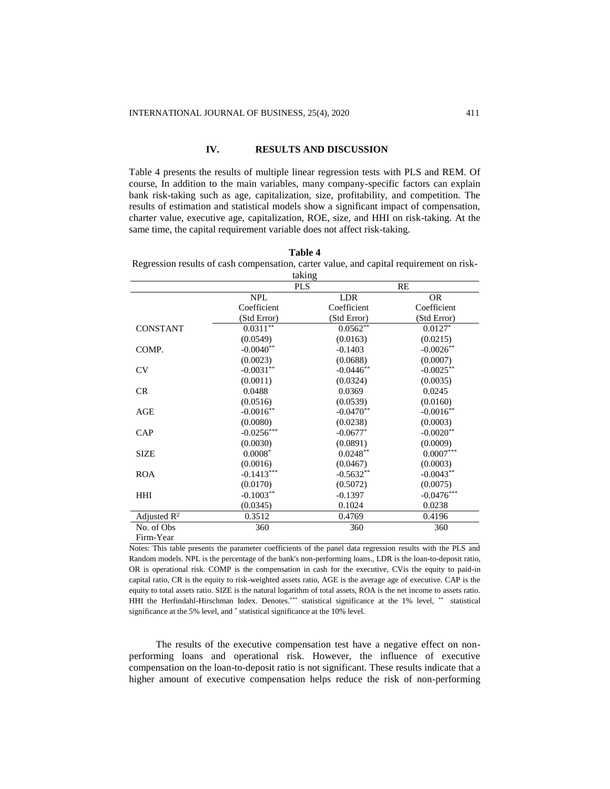### **IV. RESULTS AND DISCUSSION**

Table 4 presents the results of multiple linear regression tests with PLS and REM. Of course, In addition to the main variables, many company-specific factors can explain bank risk-taking such as age, capitalization, size, profitability, and competition. The results of estimation and statistical models show a significant impact of compensation, charter value, executive age, capitalization, ROE, size, and HHI on risk-taking. At the same time, the capital requirement variable does not affect risk-taking.

| DI<br>٦,<br>п<br>н |  |
|--------------------|--|
|--------------------|--|

Regression results of cash compensation, carter value, and capital requirement on risktaking

|                 |              | такшу       |              |
|-----------------|--------------|-------------|--------------|
|                 | <b>PLS</b>   |             | RE           |
|                 | <b>NPL</b>   | <b>LDR</b>  | <b>OR</b>    |
|                 | Coefficient  | Coefficient | Coefficient  |
|                 | (Std Error)  | (Std Error) | (Std Error)  |
| <b>CONSTANT</b> | $0.0311***$  | $0.0562**$  | $0.0127*$    |
|                 | (0.0549)     | (0.0163)    | (0.0215)     |
| COMP.           | $-0.0040**$  | $-0.1403$   | $-0.0026**$  |
|                 | (0.0023)     | (0.0688)    | (0.0007)     |
| CV              | $-0.0031**$  | $-0.0446**$ | $-0.0025***$ |
|                 | (0.0011)     | (0.0324)    | (0.0035)     |
| CR              | 0.0488       | 0.0369      | 0.0245       |
|                 | (0.0516)     | (0.0539)    | (0.0160)     |
| AGE             | $-0.0016**$  | $-0.0470**$ | $-0.0016**$  |
|                 | (0.0080)     | (0.0238)    | (0.0003)     |
| CAP             | $-0.0256***$ | $-0.0677*$  | $-0.0020**$  |
|                 | (0.0030)     | (0.0891)    | (0.0009)     |
| <b>SIZE</b>     | $0.0008*$    | $0.0248**$  | $0.0007***$  |
|                 | (0.0016)     | (0.0467)    | (0.0003)     |
| <b>ROA</b>      | $-0.1413***$ | $-0.5632**$ | $-0.0043**$  |
|                 | (0.0170)     | (0.5072)    | (0.0075)     |
| HHI             | $-0.1003**$  | $-0.1397$   | $-0.0476***$ |
|                 | (0.0345)     | 0.1024      | 0.0238       |
| Adjusted $R^2$  | 0.3512       | 0.4769      | 0.4196       |
| No. of Obs      | 360          | 360         | 360          |
| Firm-Year       |              |             |              |

Notes: This table presents the parameter coefficients of the panel data regression results with the PLS and Random models. NPL is the percentage of the bank's non-performing loans., LDR is the loan-to-deposit ratio, OR is operational risk. COMP is the compensation in cash for the executive, CVis the equity to paid-in capital ratio, CR is the equity to risk-weighted assets ratio, AGE is the average age of executive. CAP is the equity to total assets ratio. SIZE is the natural logarithm of total assets, ROA is the net income to assets ratio. HHI the Herfindahl-Hirschman Index. Denotes.\*\*\* statistical significance at the 1% level, \*\* statistical significance at the 5% level, and \* statistical significance at the 10% level.

The results of the executive compensation test have a negative effect on nonperforming loans and operational risk. However, the influence of executive compensation on the loan-to-deposit ratio is not significant. These results indicate that a higher amount of executive compensation helps reduce the risk of non-performing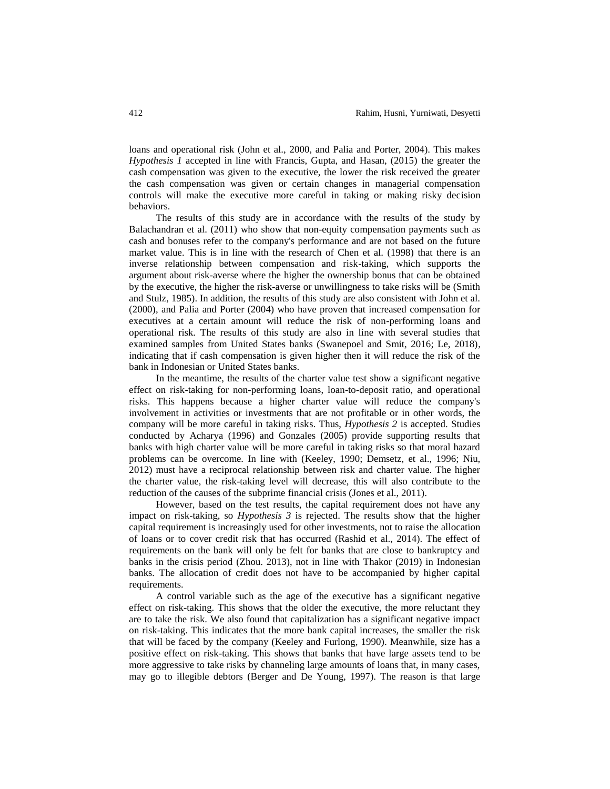loans and operational risk (John et al., 2000, and Palia and Porter, 2004). This makes *Hypothesis 1* accepted in line with Francis, Gupta, and Hasan, (2015) the greater the cash compensation was given to the executive, the lower the risk received the greater the cash compensation was given or certain changes in managerial compensation controls will make the executive more careful in taking or making risky decision behaviors.

The results of this study are in accordance with the results of the study by Balachandran et al. (2011) who show that non-equity compensation payments such as cash and bonuses refer to the company's performance and are not based on the future market value. This is in line with the research of Chen et al. (1998) that there is an inverse relationship between compensation and risk-taking, which supports the argument about risk-averse where the higher the ownership bonus that can be obtained by the executive, the higher the risk-averse or unwillingness to take risks will be (Smith and Stulz, 1985). In addition, the results of this study are also consistent with John et al. (2000), and Palia and Porter (2004) who have proven that increased compensation for executives at a certain amount will reduce the risk of non-performing loans and operational risk. The results of this study are also in line with several studies that examined samples from United States banks (Swanepoel and Smit, 2016; Le, 2018), indicating that if cash compensation is given higher then it will reduce the risk of the bank in Indonesian or United States banks.

In the meantime, the results of the charter value test show a significant negative effect on risk-taking for non-performing loans, loan-to-deposit ratio, and operational risks. This happens because a higher charter value will reduce the company's involvement in activities or investments that are not profitable or in other words, the company will be more careful in taking risks. Thus, *Hypothesis 2* is accepted. Studies conducted by Acharya (1996) and Gonzales (2005) provide supporting results that banks with high charter value will be more careful in taking risks so that moral hazard problems can be overcome. In line with (Keeley, 1990; Demsetz, et al., 1996; Niu, 2012) must have a reciprocal relationship between risk and charter value. The higher the charter value, the risk-taking level will decrease, this will also contribute to the reduction of the causes of the subprime financial crisis (Jones et al., 2011).

However, based on the test results, the capital requirement does not have any impact on risk-taking, so *Hypothesis 3* is rejected. The results show that the higher capital requirement is increasingly used for other investments, not to raise the allocation of loans or to cover credit risk that has occurred (Rashid et al., 2014). The effect of requirements on the bank will only be felt for banks that are close to bankruptcy and banks in the crisis period (Zhou. 2013), not in line with Thakor (2019) in Indonesian banks. The allocation of credit does not have to be accompanied by higher capital requirements.

A control variable such as the age of the executive has a significant negative effect on risk-taking. This shows that the older the executive, the more reluctant they are to take the risk. We also found that capitalization has a significant negative impact on risk-taking. This indicates that the more bank capital increases, the smaller the risk that will be faced by the company (Keeley and Furlong, 1990). Meanwhile, size has a positive effect on risk-taking. This shows that banks that have large assets tend to be more aggressive to take risks by channeling large amounts of loans that, in many cases, may go to illegible debtors (Berger and De Young, 1997). The reason is that large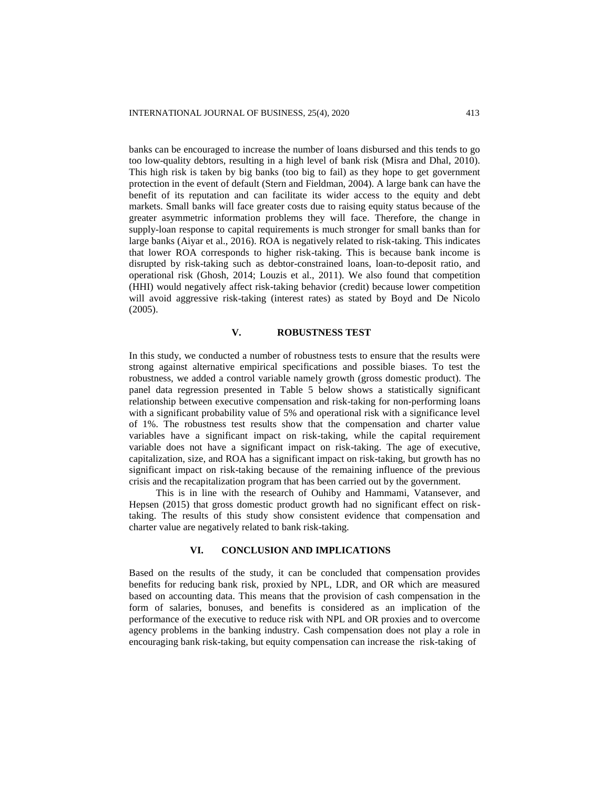banks can be encouraged to increase the number of loans disbursed and this tends to go too low-quality debtors, resulting in a high level of bank risk (Misra and Dhal, 2010). This high risk is taken by big banks (too big to fail) as they hope to get government protection in the event of default (Stern and Fieldman, 2004). A large bank can have the benefit of its reputation and can facilitate its wider access to the equity and debt markets. Small banks will face greater costs due to raising equity status because of the greater asymmetric information problems they will face. Therefore, the change in supply-loan response to capital requirements is much stronger for small banks than for large banks (Aiyar et al., 2016). ROA is negatively related to risk-taking. This indicates that lower ROA corresponds to higher risk-taking. This is because bank income is disrupted by risk-taking such as debtor-constrained loans, loan-to-deposit ratio, and operational risk (Ghosh, 2014; Louzis et al., 2011). We also found that competition (HHI) would negatively affect risk-taking behavior (credit) because lower competition will avoid aggressive risk-taking (interest rates) as stated by Boyd and De Nicolo (2005).

## **V. ROBUSTNESS TEST**

In this study, we conducted a number of robustness tests to ensure that the results were strong against alternative empirical specifications and possible biases. To test the robustness, we added a control variable namely growth (gross domestic product). The panel data regression presented in Table 5 below shows a statistically significant relationship between executive compensation and risk-taking for non-performing loans with a significant probability value of 5% and operational risk with a significance level of 1%. The robustness test results show that the compensation and charter value variables have a significant impact on risk-taking, while the capital requirement variable does not have a significant impact on risk-taking. The age of executive, capitalization, size, and ROA has a significant impact on risk-taking, but growth has no significant impact on risk-taking because of the remaining influence of the previous crisis and the recapitalization program that has been carried out by the government.

This is in line with the research of Ouhiby and Hammami, Vatansever, and Hepsen (2015) that gross domestic product growth had no significant effect on risktaking. The results of this study show consistent evidence that compensation and charter value are negatively related to bank risk-taking.

## **VI. CONCLUSION AND IMPLICATIONS**

Based on the results of the study, it can be concluded that compensation provides benefits for reducing bank risk, proxied by NPL, LDR, and OR which are measured based on accounting data. This means that the provision of cash compensation in the form of salaries, bonuses, and benefits is considered as an implication of the performance of the executive to reduce risk with NPL and OR proxies and to overcome agency problems in the banking industry. Cash compensation does not play a role in encouraging bank risk-taking, but equity compensation can increase the risk-taking of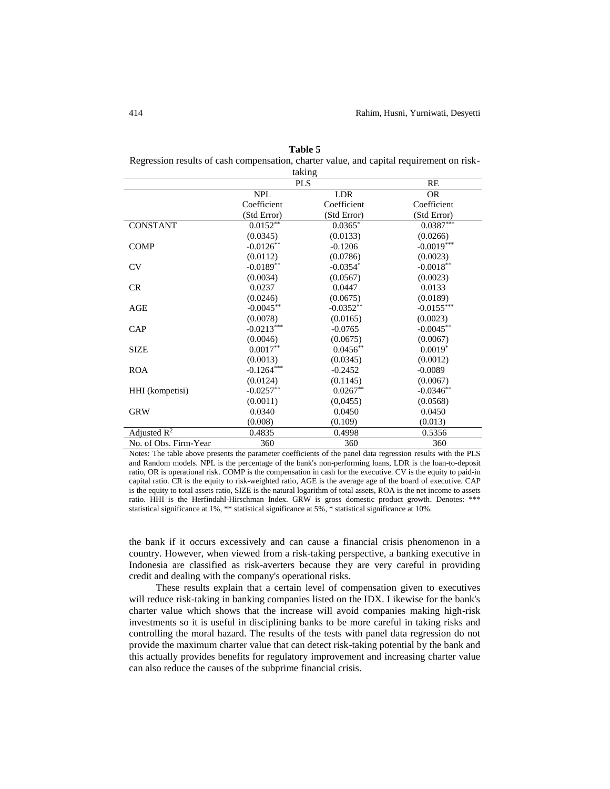|                         |              | taking      |              |
|-------------------------|--------------|-------------|--------------|
|                         |              | <b>PLS</b>  | RE           |
|                         | <b>NPL</b>   | LDR         | <b>OR</b>    |
|                         | Coefficient  | Coefficient | Coefficient  |
|                         | (Std Error)  | (Std Error) | (Std Error)  |
| <b>CONSTANT</b>         | 0.0152       | $0.0365*$   | $0.0387***$  |
|                         | (0.0345)     | (0.0133)    | (0.0266)     |
| <b>COMP</b>             | $-0.0126**$  | $-0.1206$   | $-0.0019***$ |
|                         | (0.0112)     | (0.0786)    | (0.0023)     |
| CV                      | $-0.0189**$  | $-0.0354*$  | $-0.0018**$  |
|                         | (0.0034)     | (0.0567)    | (0.0023)     |
| <b>CR</b>               | 0.0237       | 0.0447      | 0.0133       |
|                         | (0.0246)     | (0.0675)    | (0.0189)     |
| AGE                     | $-0.0045**$  | $-0.0352**$ | $-0.0155***$ |
|                         | (0.0078)     | (0.0165)    | (0.0023)     |
| CAP                     | $-0.0213***$ | $-0.0765$   | $-0.0045**$  |
|                         | (0.0046)     | (0.0675)    | (0.0067)     |
| SIZE                    | $0.0017**$   | $0.0456**$  | $0.0019*$    |
|                         | (0.0013)     | (0.0345)    | (0.0012)     |
| <b>ROA</b>              | $-0.1264***$ | $-0.2452$   | $-0.0089$    |
|                         | (0.0124)     | (0.1145)    | (0.0067)     |
| HHI (kompetisi)         | $-0.0257**$  | $0.0267**$  | $-0.0346**$  |
|                         | (0.0011)     | (0,0455)    | (0.0568)     |
| <b>GRW</b>              | 0.0340       | 0.0450      | 0.0450       |
|                         | (0.008)      | (0.109)     | (0.013)      |
| Adjusted $\mathbb{R}^2$ | 0.4835       | 0.4998      | 0.5356       |
| No. of Obs. Firm-Year   | 360          | 360         | 360          |

**Table 5** Regression results of cash compensation, charter value, and capital requirement on risk-

Notes: The table above presents the parameter coefficients of the panel data regression results with the PLS and Random models. NPL is the percentage of the bank's non-performing loans, LDR is the loan-to-deposit ratio, OR is operational risk. COMP is the compensation in cash for the executive. CV is the equity to paid-in capital ratio. CR is the equity to risk-weighted ratio, AGE is the average age of the board of executive. CAP is the equity to total assets ratio, SIZE is the natural logarithm of total assets, ROA is the net income to assets ratio. HHI is the Herfindahl-Hirschman Index. GRW is gross domestic product growth. Denotes: \*\*\* statistical significance at 1%, \*\* statistical significance at 5%, \* statistical significance at 10%.

the bank if it occurs excessively and can cause a financial crisis phenomenon in a country. However, when viewed from a risk-taking perspective, a banking executive in Indonesia are classified as risk-averters because they are very careful in providing credit and dealing with the company's operational risks.

These results explain that a certain level of compensation given to executives will reduce risk-taking in banking companies listed on the IDX. Likewise for the bank's charter value which shows that the increase will avoid companies making high-risk investments so it is useful in disciplining banks to be more careful in taking risks and controlling the moral hazard. The results of the tests with panel data regression do not provide the maximum charter value that can detect risk-taking potential by the bank and this actually provides benefits for regulatory improvement and increasing charter value can also reduce the causes of the subprime financial crisis.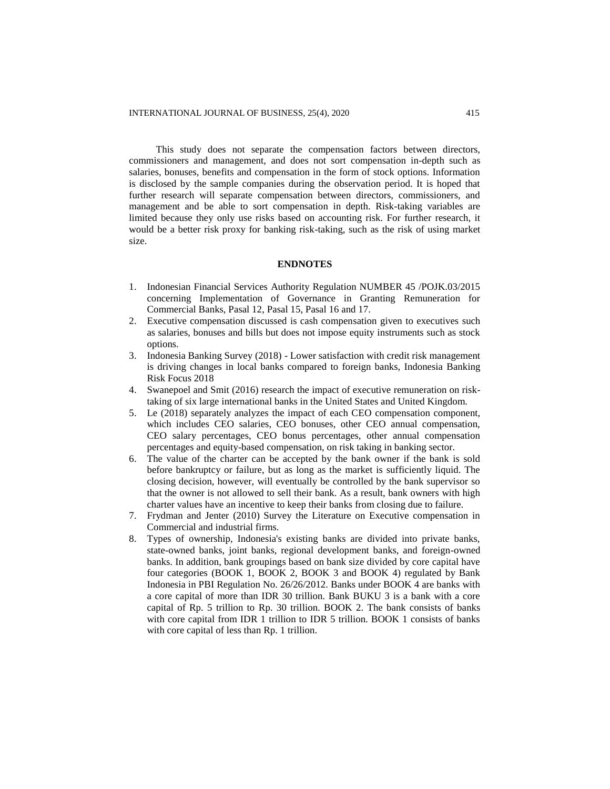This study does not separate the compensation factors between directors, commissioners and management, and does not sort compensation in-depth such as salaries, bonuses, benefits and compensation in the form of stock options. Information is disclosed by the sample companies during the observation period. It is hoped that further research will separate compensation between directors, commissioners, and management and be able to sort compensation in depth. Risk-taking variables are limited because they only use risks based on accounting risk. For further research, it would be a better risk proxy for banking risk-taking, such as the risk of using market size.

## **ENDNOTES**

- 1. Indonesian Financial Services Authority Regulation NUMBER 45 /POJK.03/2015 concerning Implementation of Governance in Granting Remuneration for Commercial Banks, Pasal 12, Pasal 15, Pasal 16 and 17.
- 2. Executive compensation discussed is cash compensation given to executives such as salaries, bonuses and bills but does not impose equity instruments such as stock options.
- 3. Indonesia Banking Survey (2018) Lower satisfaction with credit risk management is driving changes in local banks compared to foreign banks, Indonesia Banking Risk Focus 2018
- 4. Swanepoel and Smit (2016) research the impact of executive remuneration on risktaking of six large international banks in the United States and United Kingdom.
- 5. Le (2018) separately analyzes the impact of each CEO compensation component, which includes CEO salaries, CEO bonuses, other CEO annual compensation, CEO salary percentages, CEO bonus percentages, other annual compensation percentages and equity-based compensation, on risk taking in banking sector.
- 6. The value of the charter can be accepted by the bank owner if the bank is sold before bankruptcy or failure, but as long as the market is sufficiently liquid. The closing decision, however, will eventually be controlled by the bank supervisor so that the owner is not allowed to sell their bank. As a result, bank owners with high charter values have an incentive to keep their banks from closing due to failure.
- 7. Frydman and Jenter (2010) Survey the Literature on Executive compensation in Commercial and industrial firms.
- 8. Types of ownership, Indonesia's existing banks are divided into private banks, state-owned banks, joint banks, regional development banks, and foreign-owned banks. In addition, bank groupings based on bank size divided by core capital have four categories (BOOK 1, BOOK 2, BOOK 3 and BOOK 4) regulated by Bank Indonesia in PBI Regulation No. 26/26/2012. Banks under BOOK 4 are banks with a core capital of more than IDR 30 trillion. Bank BUKU 3 is a bank with a core capital of Rp. 5 trillion to Rp. 30 trillion. BOOK 2. The bank consists of banks with core capital from IDR 1 trillion to IDR 5 trillion. BOOK 1 consists of banks with core capital of less than Rp. 1 trillion.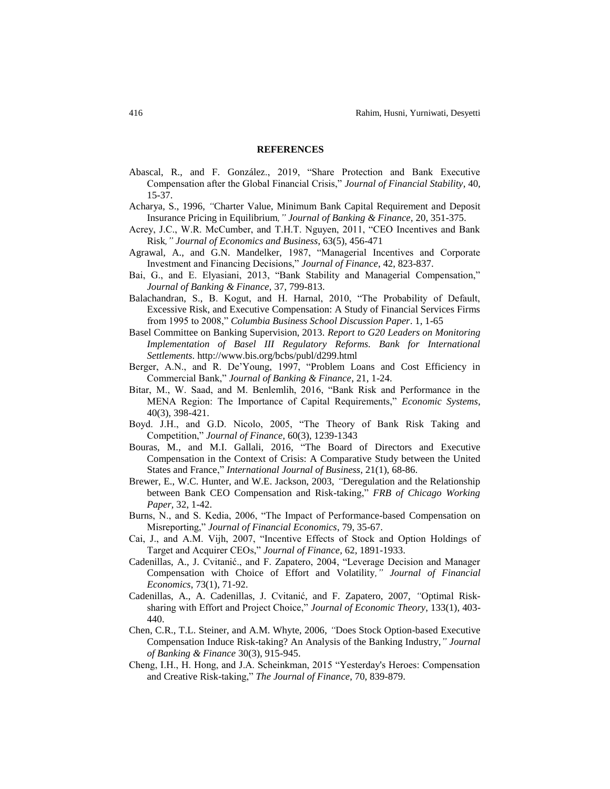#### **REFERENCES**

- Abascal, R., and F. [González.](https://www.sciencedirect.com/science/article/pii/S1572308917305752#!), 2019, "Share Protection and Bank Executive Compensation after the Global Financial Crisis," *Journal of Financial Stability*, 40, 15-37.
- Acharya, S., 1996, *"*Charter Value, Minimum Bank Capital Requirement and Deposit Insurance Pricing in Equilibrium*," Journal of Banking & Finance,* 20, 351-375.
- Acrey, J.C., W.R. McCumber, and T.H.T. Nguyen, 2011, "CEO Incentives and Bank Risk*," Journal of Economics and Business*, 63(5), 456-471
- Agrawal, A., and G.N. Mandelker, 1987, "Managerial Incentives and Corporate Investment and Financing Decisions," *Journal of Finance*, 42, 823-837.
- Bai, G., and E. Elyasiani, 2013, "Bank Stability and Managerial Compensation," *Journal of Banking & Finance,* 37, 799-813.
- Balachandran, S., B. Kogut, and H. Harnal, 2010, "The Probability of Default, Excessive Risk, and Executive Compensation: A Study of Financial Services Firms from 1995 to 2008," *Columbia Business School Discussion Paper*. 1, 1-65
- Basel Committee on Banking Supervision, 2013. *Report to G20 Leaders on Monitoring Implementation of Basel III Regulatory Reforms. Bank for International Settlements*. http://www.bis.org/bcbs/publ/d299.html
- Berger, A.N., and R. De'Young, 1997, "Problem Loans and Cost Efficiency in Commercial Bank," *Journal of Banking & Finance*, 21, 1-24.
- Bitar, M., W. Saad, and M. Benlemlih, 2016, "Bank Risk and Performance in the MENA Region: The Importance of Capital Requirements," *Economic Systems*, 40(3), 398-421.
- Boyd. J.H., and G.D. Nicolo, 2005, "The Theory of Bank Risk Taking and Competition," *Journal of Finance*, 60(3), 1239-1343
- Bouras, M., and M.I. Gallali, 2016, "The Board of Directors and Executive Compensation in the Context of Crisis: A Comparative Study between the United States and France," *International Journal of Business*, 21(1), 68-86.
- Brewer, E., W.C. Hunter, and W.E. Jackson, 2003, *"*Deregulation and the Relationship between Bank CEO Compensation and Risk-taking," *FRB of Chicago Working Paper,* 32, 1-42.
- Burns, N., and S. Kedia, 2006, "The Impact of Performance-based Compensation on Misreporting," *Journal of Financial Economics*, 79, 35-67.
- Cai, J., and A.M. Vijh, 2007, "Incentive Effects of Stock and Option Holdings of Target and Acquirer CEOs," *Journal of Finance,* 62, 1891-1933.
- Cadenillas, A., J. [Cvitanić.](https://www.sciencedirect.com/science/article/pii/S0304405X04000133#!), and F. Zapatero, 2004, "Leverage Decision and Manager Compensation with Choice of Effort and Volatility*," Journal of Financial Economics*, 73(1), 71-92.
- Cadenillas, A., A. Cadenillas, J. [Cvitanić,](https://www.sciencedirect.com/science/article/pii/S0304405X04000133#!) and F. Zapatero, 2007, *"*Optimal Risksharing with Effort and Project Choice," *Journal of Economic Theory*, 133(1), 403- 440.
- Chen, C.R., T.L. Steiner, and A.M. Whyte, 2006, *"*Does Stock Option-based Executive Compensation Induce Risk-taking? An Analysis of the Banking Industry,*" Journal of Banking & Finance* 30(3), 915-945.
- Cheng, I.H., H. Hong, and J.A. Scheinkman, 2015 "Yesterday's Heroes: Compensation and Creative Risk-taking," *The Journal of Finance*, 70, 839-879.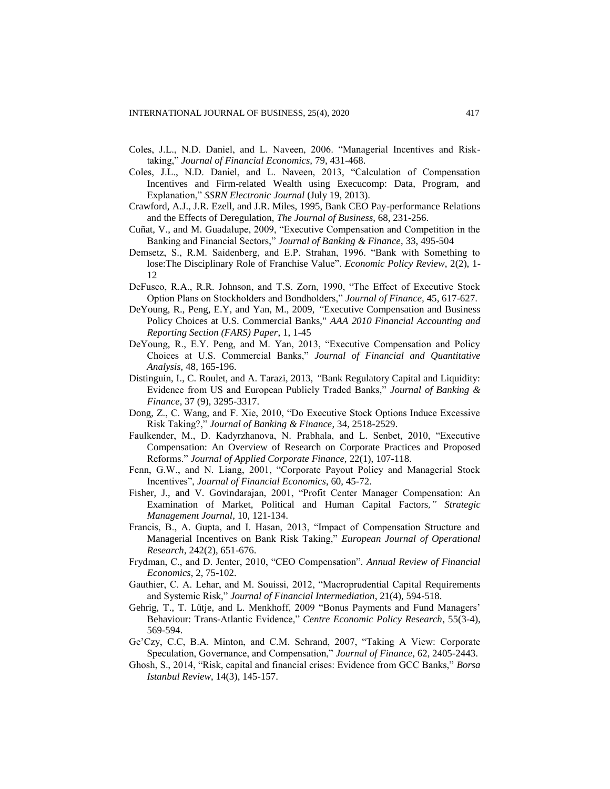- Coles, J.L., N.D. Daniel, and L. Naveen, 2006. "Managerial Incentives and Risktaking," *Journal of Financial Economics,* 79, 431-468.
- Coles, J.L., N.D. Daniel, and L. Naveen, 2013, "Calculation of Compensation Incentives and Firm-related Wealth using Execucomp: Data, Program, and Explanation," *SSRN Electronic Journal* (July 19, 2013).
- Crawford, A.J., J.R. Ezell, and J.R. Miles, 1995, Bank CEO Pay-performance Relations and the Effects of Deregulation, *The Journal of Business*, 68, 231-256.
- Cuñat, V., and M. Guadalupe, 2009, "Executive Compensation and Competition in the Banking and Financial Sectors," *Journal of Banking & Finance*, 33, 495-504
- Demsetz, S., R.M. Saidenberg, and E.P. Strahan, 1996. "Bank with Something to lose:The Disciplinary Role of Franchise Value". *Economic Policy Review*, 2(2), 1- 12
- DeFusco, R.A., R.R. Johnson, and T.S. Zorn, 1990, "The Effect of Executive Stock Option Plans on Stockholders and Bondholders," *Journal of Finance,* 45, 617-627.
- DeYoung, R., Peng, E.Y, and Yan, M., 2009, *"*Executive Compensation and Business Policy Choices at U.S. Commercial Banks," *AAA 2010 Financial Accounting and Reporting Section (FARS) Paper*, 1, 1-45
- DeYoung, R., E.Y. Peng, and M. Yan, 2013, "Executive Compensation and Policy Choices at U.S. Commercial Banks," *Journal of Financial and Quantitative Analysis,* 48, 165-196.
- Distinguin, I., C. Roulet, and A. Tarazi, 2013, *"*Bank Regulatory Capital and Liquidity: Evidence from US and European Publicly Traded Banks," *Journal of Banking & Finance*, 37 (9), 3295-3317.
- Dong, Z., C. Wang, and F. Xie, 2010, "Do Executive Stock Options Induce Excessive Risk Taking?," *Journal of Banking & Finance*, 34, 2518-2529.
- Faulkender, M., D. Kadyrzhanova, N. Prabhala, and L. Senbet, 2010, "Executive Compensation: An Overview of Research on Corporate Practices and Proposed Reforms." *Journal of Applied Corporate Finance,* 22(1), 107-118.
- Fenn, G.W., and N. Liang, 2001, "Corporate Payout Policy and Managerial Stock Incentives", *Journal of Financial Economics*, 60, 45-72.
- Fisher, J., and V. Govindarajan, 2001, "Profit Center Manager Compensation: An Examination of Market, Political and Human Capital Factors*," Strategic Management Journal*, 10, 121-134.
- Francis, B., A. Gupta, and I. Hasan, 2013, "Impact of Compensation Structure and Managerial Incentives on Bank Risk Taking," *European Journal of Operational Research*, 242(2), 651-676.
- Frydman, C., and D. Jenter, 2010, "CEO Compensation". *Annual Review of Financial Economics*, 2, 75-102.
- Gauthier, C. A. Lehar, and M. Souissi, 2012, "Macroprudential Capital Requirements and Systemic Risk," *Journal of Financial Intermediation*, 21(4), 594-518.
- Gehrig, T., T. [Lütje,](https://papers.ssrn.com/sol3/cf_dev/AbsByAuth.cfm?per_id=365089) and L. Menkhoff, 2009 "Bonus Payments and Fund Managers' Behaviour: Trans-Atlantic Evidence," *Centre Economic Policy Research*, 55(3-4), 569-594.
- Ge'Czy, C.C, B.A. Minton, and C.M. Schrand, 2007, "Taking A View: Corporate Speculation, Governance, and Compensation," *Journal of Finance,* 62, 2405-2443.
- Ghosh, S., 2014, "Risk, capital and financial crises: Evidence from GCC Banks," *Borsa Istanbul Review*, 14(3), 145-157.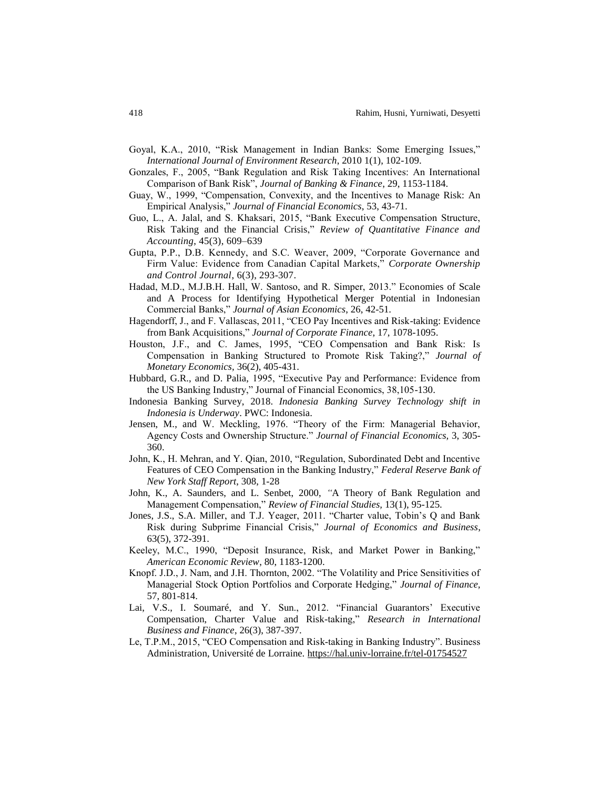- Goyal, K.A., 2010, "Risk Management in Indian Banks: Some Emerging Issues," *International Journal of Environment Research*, 2010 1(1), 102-109.
- Gonzales, F., 2005, "Bank Regulation and Risk Taking Incentives: An International Comparison of Bank Risk", *Journal of Banking & Finance*, 29, 1153-1184.
- Guay, W., 1999, "Compensation, Convexity, and the Incentives to Manage Risk: An Empirical Analysis," *Journal of Financial Economics*, 53, 43-71.
- Guo, L., A. Jalal, and S. Khaksari, 2015, "Bank Executive Compensation Structure, Risk Taking and the Financial Crisis," *Review of Quantitative Finance and Accounting*, 45(3), 609–639
- Gupta, P.P., D.B. Kennedy, and S.C. Weaver, 2009, "Corporate Governance and Firm Value: Evidence from Canadian Capital Markets," *Corporate Ownership and Control Journal*, 6(3), 293-307.
- Hadad, M.D., M.J.B.H. Hall, W. Santoso, and R. Simper, 2013." Economies of Scale and A Process for Identifying Hypothetical Merger Potential in Indonesian Commercial Banks," *Journal of Asian Economics*, 26, 42-51.
- Hagendorff, J., and F. Vallascas, 2011, "CEO Pay Incentives and Risk-taking: Evidence from Bank Acquisitions," *Journal of Corporate Finance*, 17, 1078-1095.
- Houston, J.F., and C. James, 1995, "CEO Compensation and Bank Risk: Is Compensation in Banking Structured to Promote Risk Taking?," *Journal of Monetary Economics,* 36(2), 405-431.
- Hubbard, G.R., and D. Palia, 1995, "Executive Pay and Performance: Evidence from the US Banking Industry," Journal of Financial Economics, 38,105-130.
- Indonesia Banking Survey, 2018. *Indonesia Banking Survey Technology shift in Indonesia is Underway*. PWC: Indonesia.
- Jensen, M., and W. Meckling, 1976. "Theory of the Firm: Managerial Behavior, Agency Costs and Ownership Structure." *Journal of Financial Economics,* 3, 305- 360.
- John, K., H. Mehran, and Y. Qian, 2010, "Regulation, Subordinated Debt and Incentive Features of CEO Compensation in the Banking Industry," *Federal Reserve Bank of New York Staff Report*, 308, 1-28
- John, K., A. Saunders, and L. Senbet, 2000, *"*A Theory of Bank Regulation and Management Compensation," *Review of Financial Studies,* 13(1), 95-125.
- Jones, J.S., S.A. Miller, and T.J. Yeager, 2011. "Charter value, Tobin's Q and Bank Risk during Subprime Financial Crisis," *Journal of Economics and Business*, 63(5), 372-391.
- Keeley, M.C., 1990, "Deposit Insurance, Risk, and Market Power in Banking," *American Economic Review*, 80, 1183-1200.
- Knopf. J.D., J. Nam, and J.H. Thornton, 2002. "The Volatility and Price Sensitivities of Managerial Stock Option Portfolios and Corporate Hedging," *Journal of Finance,* 57, 801-814.
- Lai, V.S., I. [Soumaré,](https://www.sciencedirect.com/science/article/pii/S0275531912000165#!) and Y. Sun., 2012. "Financial Guarantors' Executive Compensation, Charter Value and Risk-taking," *Research in International Business and Finance*, 26(3), 387-397.
- Le, T.P.M., 2015, "CEO Compensation and Risk-taking in Banking Industry". Business Administration, Université de Lorraine. https://hal.univ-lorraine.fr/tel-01754527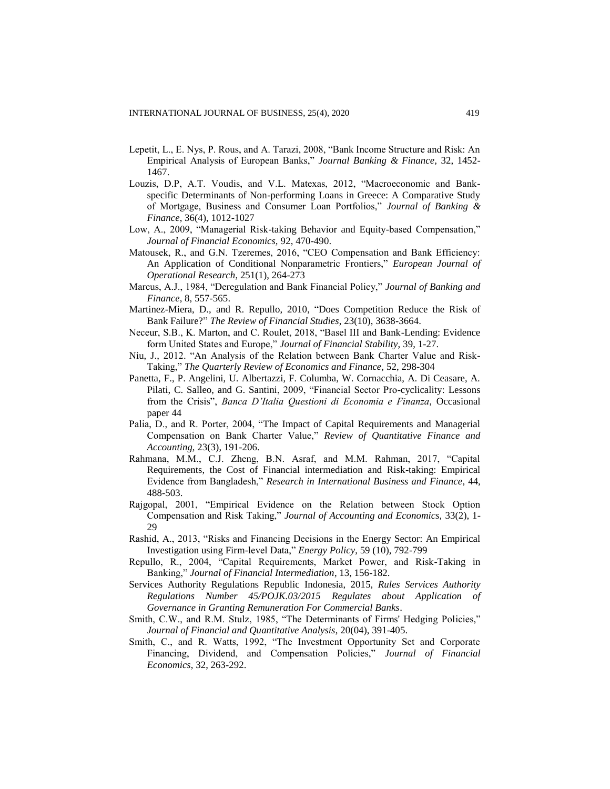- Lepetit, L., E. Nys, P. Rous, and A. Tarazi, 2008, "Bank Income Structure and Risk: An Empirical Analysis of European Banks," *Journal Banking & Finance,* 32, 1452- 1467.
- Louzis, D.P, A.T. Voudis, and V.L. Matexas, 2012, "Macroeconomic and Bankspecific Determinants of Non-performing Loans in Greece: A Comparative Study of Mortgage, Business and Consumer Loan Portfolios," *Journal of Banking & Finance*, 36(4), 1012-1027
- Low, A., 2009, "Managerial Risk-taking Behavior and Equity-based Compensation," *Journal of Financial Economics,* 92, 470-490.
- Matousek, R., and G.N. Tzeremes, 2016, "CEO Compensation and Bank Efficiency: An Application of Conditional Nonparametric Frontiers," *European Journal of Operational Research*, 251(1), 264-273
- Marcus, A.J., 1984, "Deregulation and Bank Financial Policy," *Journal of Banking and Finance*, 8, 557-565.
- Martinez-Miera, D., and R. Repullo, 2010, "Does Competition Reduce the Risk of Bank Failure?" *The Review of Financial Studies*, 23(10), 3638-3664.
- Neceur, S.B., K. Marton, and C. Roulet, 2018, "Basel III and Bank-Lending: Evidence form United States and Europe," *Journal of Financial Stability*, 39, 1-27.
- Niu, J., 2012. "An Analysis of the Relation between Bank Charter Value and Risk-Taking," *The Quarterly Review of Economics and Finance,* 52, 298-304
- Panetta, F., P. Angelini, U. Albertazzi, F. Columba, W. Cornacchia, A. Di Ceasare, A. Pilati, C. Salleo, and G. Santini, 2009, "Financial Sector Pro-cyclicality: Lessons from the Crisis", *Banca D'Italia Questioni di Economia e Finanza*, Occasional paper 44
- Palia, D., and R. Porter, 2004, "The Impact of Capital Requirements and Managerial Compensation on Bank Charter Value," *Review of Quantitative Finance and Accounting*, 23(3), 191-206.
- Rahmana, M.M., C.J. Zheng, B.N. Asraf, and M.M. Rahman, 2017, "Capital Requirements, the Cost of Financial intermediation and Risk-taking: Empirical Evidence from Bangladesh," *Research in International Business and Finance*, 44, 488-503.
- Rajgopal, 2001, "Empirical Evidence on the Relation between Stock Option Compensation and Risk Taking," *Journal of Accounting and Economics,* 33(2), 1- 29
- Rashid, A., 2013, "Risks and Financing Decisions in the Energy Sector: An Empirical Investigation using Firm-level Data," *Energy Policy*, 59 (10), 792-799
- Repullo, R., 2004, "Capital Requirements, Market Power, and Risk-Taking in Banking," *Journal of Financial Intermediation*, 13, 156-182.
- Services Authority Regulations Republic Indonesia, 2015, *Rules Services Authority Regulations Number 45/POJK.03/2015 Regulates about Application of Governance in Granting Remuneration For Commercial Banks*.
- Smith, C.W., and R.M. Stulz, 1985, "The Determinants of Firms' Hedging Policies," *Journal of Financial and Quantitative Analysis*, 20(04), 391-405.
- Smith, C., and R. Watts, 1992, "The Investment Opportunity Set and Corporate Financing, Dividend, and Compensation Policies," *Journal of Financial Economics*, 32, 263-292.